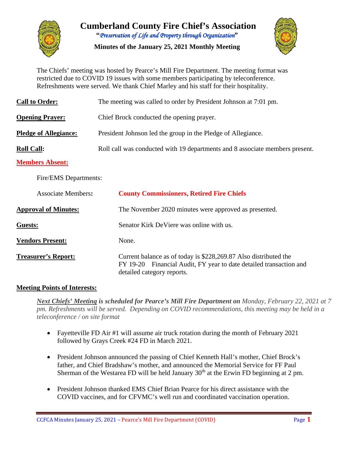

**Cumberland County Fire Chief's Association "***Preservation of Life and Property through Organization***"**

**Minutes of the January 25, 2021 Monthly Meeting**



The Chiefs' meeting was hosted by Pearce's Mill Fire Department. The meeting format was restricted due to COVID 19 issues with some members participating by teleconference. Refreshments were served. We thank Chief Marley and his staff for their hospitality.

| <b>Call to Order:</b>        | The meeting was called to order by President Johnson at 7:01 pm.             |  |  |  |  |  |  |
|------------------------------|------------------------------------------------------------------------------|--|--|--|--|--|--|
| <b>Opening Prayer:</b>       | Chief Brock conducted the opening prayer.                                    |  |  |  |  |  |  |
| <b>Pledge of Allegiance:</b> | President Johnson led the group in the Pledge of Allegiance.                 |  |  |  |  |  |  |
| <b>Roll Call:</b>            | Roll call was conducted with 19 departments and 8 associate members present. |  |  |  |  |  |  |
| <b>Members Absent:</b>       |                                                                              |  |  |  |  |  |  |
| Fire/EMS Departments:        |                                                                              |  |  |  |  |  |  |
| <b>Associate Members:</b>    | <b>County Commissioners, Retired Fire Chiefs</b>                             |  |  |  |  |  |  |
| <b>Approval of Minutes:</b>  | The November 2020 minutes were approved as presented.                        |  |  |  |  |  |  |
| Guests:                      | Senator Kirk De Viere was online with us.                                    |  |  |  |  |  |  |

**Vendors Present:** None.

**Treasurer's Report:** Current balance as of today is \$228,269.87 Also distributed the FY 19-20 Financial Audit, FY year to date detailed transaction and detailed category reports.

#### **Meeting Points of Interests:**

*Next Chiefs' Meeting is scheduled for Pearce's Mill Fire Department on Monday, February 22, 2021 at 7 pm. Refreshments will be served. Depending on COVID recommendations, this meeting may be held in a teleconference / on site format* 

- Fayetteville FD Air #1 will assume air truck rotation during the month of February 2021 followed by Grays Creek #24 FD in March 2021.
- President Johnson announced the passing of Chief Kenneth Hall's mother, Chief Brock's father, and Chief Bradshaw's mother, and announced the Memorial Service for FF Paul Sherman of the Westarea FD will be held January  $30<sup>th</sup>$  at the Erwin FD beginning at 2 pm.
- President Johnson thanked EMS Chief Brian Pearce for his direct assistance with the COVID vaccines, and for CFVMC's well run and coordinated vaccination operation.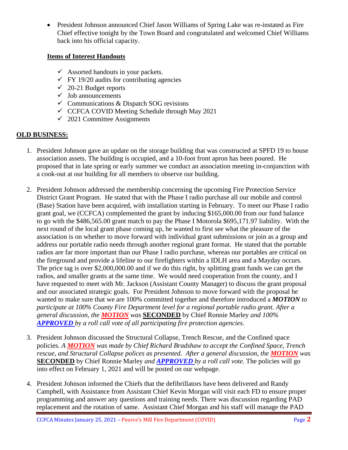• President Johnson announced Chief Jason Williams of Spring Lake was re-instated as Fire Chief effective tonight by the Town Board and congratulated and welcomed Chief Williams back into his official capacity.

#### **Items of Interest Handouts**

- $\checkmark$  Assorted handouts in your packets.
- $\checkmark$  FY 19/20 audits for contributing agencies
- $\checkmark$  20-21 Budget reports
- $\checkmark$  Job announcements
- $\checkmark$  Communications & Dispatch SOG revisions
- $\checkmark$  CCFCA COVID Meeting Schedule through May 2021
- $\checkmark$  2021 Committee Assignments

#### **OLD BUSINESS:**

- 1. President Johnson gave an update on the storage building that was constructed at SPFD 19 to house association assets. The building is occupied, and a 10-foot front apron has been poured. He proposed that in late spring or early summer we conduct an association meeting in-conjunction with a cook-out at our building for all members to observe our building.
- 2. President Johnson addressed the membership concerning the upcoming Fire Protection Service District Grant Program. He stated that with the Phase I radio purchase all our mobile and control (Base) Station have been acquired, with installation starting in February. To meet our Phase I radio grant goal, we (CCFCA) complemented the grant by inducing \$165,000.00 from our fund balance to go with the \$486,565.00 grant match to pay the Phase I Motorola \$695,171.97 liability. With the next round of the local grant phase coming up, he wanted to first see what the pleasure of the association is on whether to move forward with individual grant submissions or join as a group and address our portable radio needs through another regional grant format. He stated that the portable radios are far more important than our Phase I radio purchase, whereas our portables are critical on the fireground and provide a lifeline to our firefighters within a IDLH area and a Mayday occurs. The price tag is over \$2,000,000.00 and if we do this right, by splitting grant funds we can get the radios, and smaller grants at the same time. We would need cooperation from the county, and I have requested to meet with Mr. Jackson (Assistant County Manager) to discuss the grant proposal and our associated strategic goals. For President Johnson to move forward with the proposal he wanted to make sure that we are 100% committed together and therefore introduced a *MOTION to participate at 100% County Fire Department level for a regional portable radio grant. After a general discussion, the MOTION was* **SECONDED** by Chief Ronnie Marley *and 100% APPROVED by a roll call vote of all participating fire protection agencies.*
- 3. President Johnson discussed the Structural Collapse, Trench Rescue, and the Confined space policies. *A MOTION was made by Chief Richard Bradshaw to accept the Confined Space, Trench rescue, and Structural Collapse polices as presented. After a general discussion, the MOTION was*  **SECONDED** by Chief Ronnie Marley *and APPROVED by a roll call vote.* The policies will go into effect on February 1, 2021 and will be posted on our webpage.
- 4. President Johnson informed the Chiefs that the defibrillators have been delivered and Randy Campbell, with Assistance from Assistant Chief Kevin Morgan will visit each FD to ensure proper programming and answer any questions and training needs. There was discussion regarding PAD replacement and the rotation of same. Assistant Chief Morgan and his staff will manage the PAD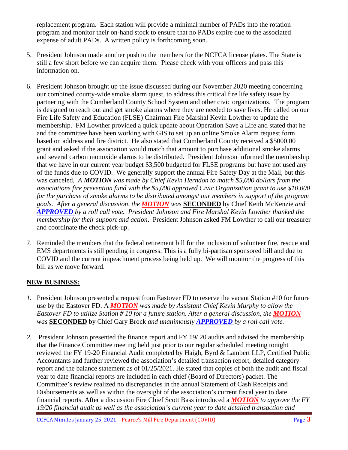replacement program. Each station will provide a minimal number of PADs into the rotation program and monitor their on-hand stock to ensure that no PADs expire due to the associated expense of adult PADs. A written policy is forthcoming soon.

- 5. President Johnson made another push to the members for the NCFCA license plates. The State is still a few short before we can acquire them. Please check with your officers and pass this information on.
- 6. President Johnson brought up the issue discussed during our November 2020 meeting concerning our combined county-wide smoke alarm quest, to address this critical fire life safety issue by partnering with the Cumberland County School System and other civic organizations. The program is designed to reach out and get smoke alarms where they are needed to save lives. He called on our Fire Life Safety and Education (FLSE) Chairman Fire Marshal Kevin Lowther to update the membership. FM Lowther provided a quick update about Operation Save a Life and stated that he and the committee have been working with GIS to set up an online Smoke Alarm request form based on address and fire district. He also stated that Cumberland County received a \$5000.00 grant and asked if the association would match that amount to purchase additional smoke alarms and several carbon monoxide alarms to be distributed. President Johnson informed the membership that we have in our current year budget \$3,500 budgeted for FLSE programs but have not used any of the funds due to COVID. We generally support the annual Fire Safety Day at the Mall, but this was canceled, *A MOTION was made by Chief Kevin Herndon to match \$5,000 dollars from the associations fire prevention fund with the \$5,000 approved Civic Organization grant to use \$10,000 for the purchase of smoke alarms to be distributed amongst our members in support of the program goals. After a general discussion, the MOTION was* **SECONDED** by Chief Keith McKenzie *and APPROVED by a roll call vote. President Johnson and Fire Marshal Kevin Lowther thanked the membership for their support and action*. President Johnson asked FM Lowther to call our treasurer and coordinate the check pick-up.
- 7. Reminded the members that the federal retirement bill for the inclusion of volunteer fire, rescue and EMS departments is still pending in congress. This is a fully bi-partisan sponsored bill and due to COVID and the current impeachment process being held up. We will monitor the progress of this bill as we move forward.

#### **NEW BUSINESS:**

- *1.* President Johnson presented a request from Eastover FD to reserve the vacant Station #10 for future use by the Eastover FD. A *MOTION was made by Assistant Chief Kevin Murphy to allow the Eastover FD to utilize Station # 10 for a future station. After a general discussion, the MOTION was* **SECONDED** by Chief Gary Brock *and unanimously APPROVED by a roll call vote.*
- *2.* President Johnson presented the finance report and FY 19/ 20 audits and advised the membership that the Finance Committee meeting held just prior to our regular scheduled meeting tonight reviewed the FY 19-20 Financial Audit completed by Haigh, Byrd & Lambert LLP, Certified Public Accountants and further reviewed the association's detailed transaction report, detailed category report and the balance statement as of 01/25/2021. He stated that copies of both the audit and fiscal year to date financial reports are included in each chief (Board of Directors) packet. The Committee's review realized no discrepancies in the annual Statement of Cash Receipts and Disbursements as well as within the oversight of the association's current fiscal year to date financial reports. After a discussion Fire Chief Scott Bass introduced a *MOTION to approve the FY 19/20 financial audit as well as the association's current year to date detailed transaction and*

CCFCA Minutes January 25, 2021 – Pearce's Mill Fire Department (COVID) Page **3**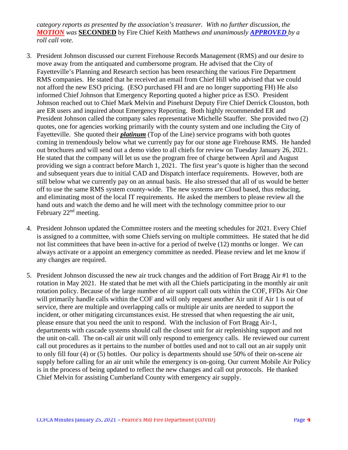*category reports as presented by the association's treasurer. With no further discussion, the MOTION was* **SECONDED** by Fire Chief Keith Matthews *and unanimously APPROVED by a roll call vote.* 

- 3. President Johnson discussed our current Firehouse Records Management (RMS) and our desire to move away from the antiquated and cumbersome program. He advised that the City of Fayetteville's Planning and Research section has been researching the various Fire Department RMS companies. He stated that he received an email from Chief Hill who advised that we could not afford the new ESO pricing. (ESO purchased FH and are no longer supporting FH) He also informed Chief Johnson that Emergency Reporting quoted a higher price as ESO. President Johnson reached out to Chief Mark Melvin and Pinehurst Deputy Fire Chief Derrick Clouston, both are ER users and inquired about Emergency Reporting. Both highly recommended ER and President Johnson called the company sales representative Michelle Stauffer. She provided two (2) quotes, one for agencies working primarily with the county system and one including the City of Fayetteville. She quoted their *platinum* (Top of the Line) service programs with both quotes coming in tremendously below what we currently pay for our stone age Firehouse RMS. He handed out brochures and will send out a demo video to all chiefs for review on Tuesday January 26, 2021. He stated that the company will let us use the program free of charge between April and August providing we sign a contract before March 1, 2021. The first year's quote is higher than the second and subsequent years due to initial CAD and Dispatch interface requirements. However, both are still below what we currently pay on an annual basis. He also stressed that all of us would be better off to use the same RMS system county-wide. The new systems are Cloud based, thus reducing, and eliminating most of the local IT requirements. He asked the members to please review all the hand outs and watch the demo and he will meet with the technology committee prior to our February  $22<sup>nd</sup>$  meeting.
- 4. President Johnson updated the Committee rosters and the meeting schedules for 2021. Every Chief is assigned to a committee, with some Chiefs serving on multiple committees. He stated that he did not list committees that have been in-active for a period of twelve (12) months or longer. We can always activate or a appoint an emergency committee as needed. Please review and let me know if any changes are required.
- 5. President Johnson discussed the new air truck changes and the addition of Fort Bragg Air #1 to the rotation in May 2021. He stated that he met with all the Chiefs participating in the monthly air unit rotation policy. Because of the large number of air support call outs within the COF, FFDs Air One will primarily handle calls within the COF and will only request another Air unit if Air 1 is out of service, there are multiple and overlapping calls or multiple air units are needed to support the incident, or other mitigating circumstances exist. He stressed that when requesting the air unit, please ensure that you need the unit to respond. With the inclusion of Fort Bragg Air-1, departments with cascade systems should call the closest unit for air replenishing support and not the unit on-call. The on-call air unit will only respond to emergency calls. He reviewed our current call out procedures as it pertains to the number of bottles used and not to call out an air supply unit to only fill four (4) or (5) bottles. Our policy is departments should use 50% of their on-scene air supply before calling for an air unit while the emergency is on-going. Our current Mobile Air Policy is in the process of being updated to reflect the new changes and call out protocols. He thanked Chief Melvin for assisting Cumberland County with emergency air supply.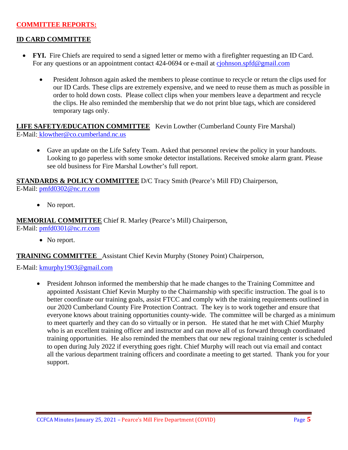#### **COMMITTEE REPORTS:**

#### **ID CARD COMMITTEE**

- **FYI.** Fire Chiefs are required to send a signed letter or memo with a firefighter requesting an ID Card. For any questions or an appointment contact 424-0694 or e-mail at [cjohnson.spfd@gmail.com](mailto:cjohnson.spfd@gmail.com)
	- President Johnson again asked the members to please continue to recycle or return the clips used for our ID Cards. These clips are extremely expensive, and we need to reuse them as much as possible in order to hold down costs. Please collect clips when your members leave a department and recycle the clips. He also reminded the membership that we do not print blue tags, which are considered temporary tags only.

**LIFE SAFETY/EDUCATION COMMITTEE** Kevin Lowther (Cumberland County Fire Marshal) E-Mail: klowther@co.cumberland.nc.us

• Gave an update on the Life Safety Team. Asked that personnel review the policy in your handouts. Looking to go paperless with some smoke detector installations. Received smoke alarm grant. Please see old business for Fire Marshal Lowther's full report.

**STANDARDS & POLICY COMMITTEE** D/C Tracy Smith (Pearce's Mill FD) Chairperson, E-Mail: [pmfd0302@nc.rr.com](mailto:pmfd0302@nc.rr.com)

• No report.

**MEMORIAL COMMITTEE** Chief R. Marley (Pearce's Mill) Chairperson,

E-Mail: [pmfd0301@nc.rr.com](mailto:pmfd0301@nc.rr.com)

• No report.

**TRAINING COMMITTEE** Assistant Chief Kevin Murphy (Stoney Point) Chairperson,

E-Mail: [kmurphy1903@gmail.com](mailto:kmurphy1903@gmail.com)

• President Johnson informed the membership that he made changes to the Training Committee and appointed Assistant Chief Kevin Murphy to the Chairmanship with specific instruction. The goal is to better coordinate our training goals, assist FTCC and comply with the training requirements outlined in our 2020 Cumberland County Fire Protection Contract. The key is to work together and ensure that everyone knows about training opportunities county-wide. The committee will be charged as a minimum to meet quarterly and they can do so virtually or in person. He stated that he met with Chief Murphy who is an excellent training officer and instructor and can move all of us forward through coordinated training opportunities. He also reminded the members that our new regional training center is scheduled to open during July 2022 if everything goes right. Chief Murphy will reach out via email and contact all the various department training officers and coordinate a meeting to get started. Thank you for your support.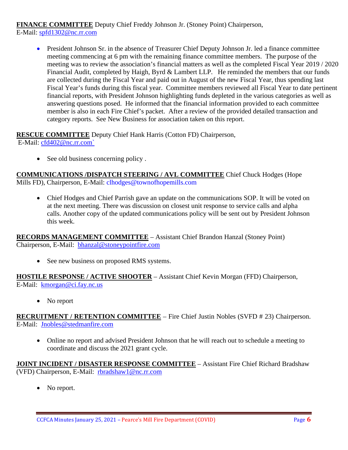**FINANCE COMMITTEE** Deputy Chief Freddy Johnson Jr. (Stoney Point) Chairperson, E-Mail: [spfd1302@nc.rr.com](mailto:spfd1302@nc.rr.com)

• President Johnson Sr. in the absence of Treasurer Chief Deputy Johnson Jr. led a finance committee meeting commencing at 6 pm with the remaining finance committee members. The purpose of the meeting was to review the association's financial matters as well as the completed Fiscal Year 2019 / 2020 Financial Audit, completed by Haigh, Byrd & Lambert LLP. He reminded the members that our funds are collected during the Fiscal Year and paid out in August of the new Fiscal Year, thus spending last Fiscal Year's funds during this fiscal year. Committee members reviewed all Fiscal Year to date pertinent financial reports, with President Johnson highlighting funds depleted in the various categories as well as answering questions posed. He informed that the financial information provided to each committee member is also in each Fire Chief's packet. After a review of the provided detailed transaction and category reports. See New Business for association taken on this report.

**RESCUE COMMITTEE** Deputy Chief Hank Harris (Cotton FD) Chairperson, E-Mail: [cfd402@nc.rr.com`](mailto:cfd402@nc.rr.com)

• See old business concerning policy.

**COMMUNICATIONS /DISPATCH STEERING / AVL COMMITTEE** Chief Chuck Hodges (Hope Mills FD), Chairperson, E-Mail: clhodges@townofhopemills.com

• Chief Hodges and Chief Parrish gave an update on the communications SOP. It will be voted on at the next meeting. There was discussion on closest unit response to service calls and alpha calls. Another copy of the updated communications policy will be sent out by President Johnson this week.

**RECORDS MANAGEMENT COMMITTEE** – Assistant Chief Brandon Hanzal (Stoney Point) Chairperson, E-Mail: [bhanzal@stoneypointfire.com](mailto:bhanzal@stoneypointfire.com)

• See new business on proposed RMS systems.

**HOSTILE RESPONSE / ACTIVE SHOOTER** – Assistant Chief Kevin Morgan (FFD) Chairperson, E-Mail: [kmorgan@ci.fay.nc.us](mailto:kmorgan@ci.fay.nc.us)

• No report

**RECRUITMENT / RETENTION COMMITTEE** – Fire Chief Justin Nobles (SVFD # 23) Chairperson. E-Mail: [Jnobles@stedmanfire.com](mailto:Jnobles@stedmanfire.com)

• Online no report and advised President Johnson that he will reach out to schedule a meeting to coordinate and discuss the 2021 grant cycle.

**JOINT INCIDENT / DISASTER RESPONSE COMMITTEE** – Assistant Fire Chief Richard Bradshaw (VFD) Chairperson, E-Mail: [rbradshaw1@nc.rr.com](mailto:rbradshaw1@nc.rr.com)

• No report.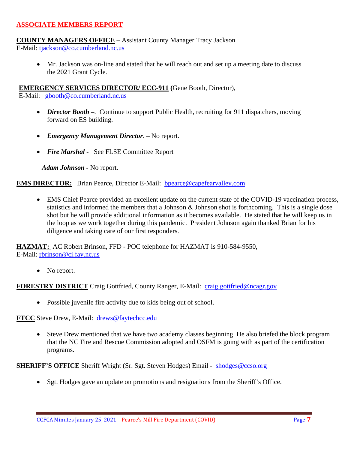#### **ASSOCIATE MEMBERS REPORT**

#### **COUNTY MANAGERS OFFICE** – Assistant County Manager Tracy Jackson

E-Mail: [tjackson@co.cumberland.nc.us](mailto:tjackson@co.cumberland.nc.us)

• Mr. Jackson was on-line and stated that he will reach out and set up a meeting date to discuss the 2021 Grant Cycle.

**EMERGENCY SERVICES DIRECTOR/ ECC-911 (**Gene Booth, Director),

E-Mail: [gbooth@co.cumberland.nc.us](mailto:gbooth@co.cumberland.nc.us)

- *Director Booth –.* Continue to support Public Health, recruiting for 911 dispatchers, moving forward on ES building.
- *Emergency Management Director*. No report.
- *Fire Marshal* See FLSE Committee Report

*Adam Johnson -* No report.

**EMS DIRECTOR:** Brian Pearce, Director E-Mail: **bpearce@capefearvalley.com** 

• EMS Chief Pearce provided an excellent update on the current state of the COVID-19 vaccination process, statistics and informed the members that a Johnson & Johnson shot is forthcoming. This is a single dose shot but he will provide additional information as it becomes available. He stated that he will keep us in the loop as we work together during this pandemic. President Johnson again thanked Brian for his diligence and taking care of our first responders.

**HAZMAT:** AC Robert Brinson, FFD - POC telephone for HAZMAT is 910-584-9550, E-Mail: [rbrinson@ci.fay.nc.us](mailto:rbrinson@ci.fay.nc.us)

• No report.

**FORESTRY DISTRICT** Craig Gottfried, County Ranger, E-Mail: [craig.gottfried@ncagr.gov](mailto:craig.gottfried@ncagr.gov)

• Possible juvenile fire activity due to kids being out of school.

**FTCC** Steve Drew, E-Mail: [drews@faytechcc.edu](mailto:drews@faytechcc.edu)

• Steve Drew mentioned that we have two academy classes beginning. He also briefed the block program that the NC Fire and Rescue Commission adopted and OSFM is going with as part of the certification programs.

**SHERIFF'S OFFICE** Sheriff Wright (Sr. Sgt. Steven Hodges) Email - [shodges@ccso.org](mailto:shodges@ccso.org)

• Sgt. Hodges gave an update on promotions and resignations from the Sheriff's Office.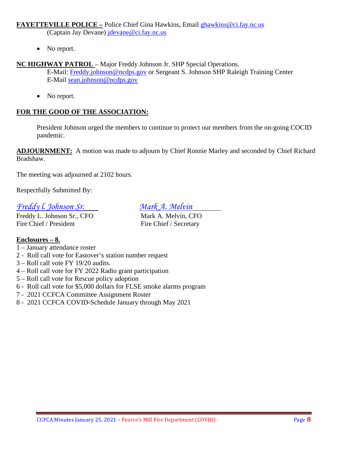#### **FAYETTEVILLE POLICE –** Police Chief Gina Hawkins, Email [ghawkins@ci.fay.nc.us](mailto:ghawkins@ci.fay.nc.us)

(Captain Jay Devane) [jdevane@ci.fay.nc.us](mailto:jdevane@ci.fay.nc.us)

• No report.

# **NC HIGHWAY PATROL** – Major Freddy Johnson Jr. SHP Special Operations.

E-Mail: [Freddy.johnson@ncdps.gov](mailto:Freddy.johnson@ncdps.gov) or Sergeant S. Johnson SHP Raleigh Training Center E-Mail [sean.johnson@ncdps.gov](mailto:sean.johnson@ncdps.gov)

• No report.

# **FOR THE GOOD OF THE ASSOCIATION:**

President Johnson urged the members to continue to protect our members from the on-going COCID pandemic.

**ADJOURNMENT:** A motion was made to adjourn by Chief Ronnie Marley and seconded by Chief Richard Bradshaw.

The meeting was adjourned at 2102 hours.

Respectfully Submitted By:

### *Freddy l. Johnson Sr. Mark A. Melvin*

Freddy L. Johnson Sr., CFO Mark A. Melvin, CFO Fire Chief / President Fire Chief / Secretary

# **Enclosures – 8.**

- 1 January attendance roster
- 2 Roll call vote for Eastover's station number request
- 3 Roll call vote FY 19/20 audits.
- 4 Roll call vote for FY 2022 Radio grant participation
- 5 Roll call vote for Rescue policy adoption
- 6 Roll call vote for \$5,000 dollars for FLSE smoke alarms program
- 7 2021 CCFCA Committee Assignment Roster
- 8 2021 CCFCA COVID-Schedule January through May 2021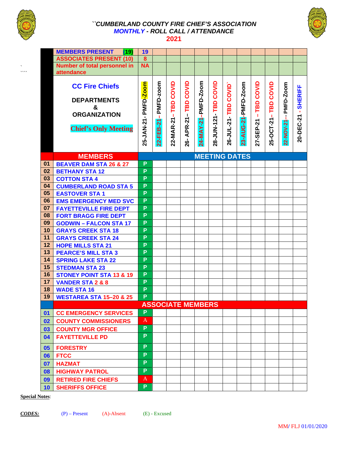

`  $\ddot{\phantom{0}}$ 

#### *``CUMBERLAND COUNTY FIRE CHIEF'S ASSOCIATION MONTHLY - ROLL CALL / ATTENDANCE*  **2021**



|                | <b>MEMBERS PRESENT</b><br>(19)      | 19               |           |           |               |                          |                |               |                      |           |           |           |                |
|----------------|-------------------------------------|------------------|-----------|-----------|---------------|--------------------------|----------------|---------------|----------------------|-----------|-----------|-----------|----------------|
|                | <b>ASSOCIATES PRESENT (10)</b>      | $\boldsymbol{8}$ |           |           |               |                          |                |               |                      |           |           |           |                |
|                | Number of total personnel in        | <b>NA</b>        |           |           |               |                          |                |               |                      |           |           |           |                |
|                | attendance                          |                  |           |           |               |                          |                |               |                      |           |           |           |                |
|                |                                     |                  |           |           |               |                          |                |               |                      |           |           |           |                |
|                | <b>CC Fire Chiefs</b>               | PMFD-Zoom        | PMFD-zoom | COVID     | COVID         | 24-MAY-21-PMFD-Zoom      | COVID          | COVID         | 23-AUG-21-PMFD-Zoom  | COVID     | COVID     | PMFD-Zoom | <b>SHERIFF</b> |
|                | <b>DEPARTMENTS</b>                  |                  |           |           |               |                          |                |               |                      |           |           |           |                |
|                | &                                   |                  |           | TBD       | TBD           |                          |                |               |                      | TBD       | TBD       |           |                |
|                | <b>ORGANIZATION</b>                 |                  |           | т         | $\mathbf{I}$  |                          |                |               |                      | т.        | -1        |           |                |
|                |                                     |                  |           |           |               |                          |                |               |                      |           |           |           |                |
|                | <b>Chief's Only Meeting</b>         |                  |           |           | <b>APR-21</b> |                          |                |               |                      |           |           |           |                |
|                |                                     | 25-JAN-21-       | 22-FEB-21 | 22-MAR-21 |               |                          | 28-JUN-121-TBD | 26-JUL-21-TBD |                      | 27-SEP-21 | 25-OCT-21 | 22-NOV-21 | 20-DEC-21      |
|                |                                     |                  |           |           | 8             |                          |                |               |                      |           |           |           |                |
|                | <b>MEMBERS</b>                      |                  |           |           |               |                          |                |               | <b>MEETING DATES</b> |           |           |           |                |
| 01             | <b>BEAVER DAM STA 26 &amp; 27</b>   | P                |           |           |               |                          |                |               |                      |           |           |           |                |
| 02             | <b>BETHANY STA 12</b>               | P                |           |           |               |                          |                |               |                      |           |           |           |                |
| 03             | <b>COTTON STA 4</b>                 | P                |           |           |               |                          |                |               |                      |           |           |           |                |
| 04             | <b>CUMBERLAND ROAD STA 5</b>        | P                |           |           |               |                          |                |               |                      |           |           |           |                |
| 05             | <b>EASTOVER STA1</b>                | P                |           |           |               |                          |                |               |                      |           |           |           |                |
| 06             | <b>EMS EMERGENCY MED SVC</b>        | P                |           |           |               |                          |                |               |                      |           |           |           |                |
| 07             | <b>FAYETTEVILLE FIRE DEPT</b>       | P                |           |           |               |                          |                |               |                      |           |           |           |                |
| 08             | <b>FORT BRAGG FIRE DEPT</b>         | P                |           |           |               |                          |                |               |                      |           |           |           |                |
| 09             | <b>GODWIN - FALCON STA 17</b>       | P                |           |           |               |                          |                |               |                      |           |           |           |                |
| 10             | <b>GRAYS CREEK STA 18</b>           | P                |           |           |               |                          |                |               |                      |           |           |           |                |
| 11             | <b>GRAYS CREEK STA 24</b>           | P                |           |           |               |                          |                |               |                      |           |           |           |                |
| 12             | <b>HOPE MILLS STA 21</b>            | P                |           |           |               |                          |                |               |                      |           |           |           |                |
| 13             | <b>PEARCE'S MILL STA 3</b>          | P                |           |           |               |                          |                |               |                      |           |           |           |                |
| 14             | <b>SPRING LAKE STA 22</b>           | P                |           |           |               |                          |                |               |                      |           |           |           |                |
| 15             | <b>STEDMAN STA 23</b>               | P                |           |           |               |                          |                |               |                      |           |           |           |                |
| 16             | <b>STONEY POINT STA 13 &amp; 19</b> | P                |           |           |               |                          |                |               |                      |           |           |           |                |
| 17             | <b>VANDER STA 2 &amp; 8</b>         | P                |           |           |               |                          |                |               |                      |           |           |           |                |
| 18             | <b>WADE STA 16</b>                  | P                |           |           |               |                          |                |               |                      |           |           |           |                |
| 19             | <b>WESTAREA STA 15-20 &amp; 25</b>  | P                |           |           |               |                          |                |               |                      |           |           |           |                |
|                |                                     |                  |           |           |               | <b>ASSOCIATE MEMBERS</b> |                |               |                      |           |           |           |                |
| $\mathbf{0}$ 1 | <b>CC EMERGENCY SERVICES</b>        | P                |           |           |               |                          |                |               |                      |           |           |           |                |
| 02             | <b>COUNTY COMMISSIONERS</b>         | A                |           |           |               |                          |                |               |                      |           |           |           |                |
| 03             | <b>COUNTY MGR OFFICE</b>            | P                |           |           |               |                          |                |               |                      |           |           |           |                |
| 04             | <b>FAYETTEVILLE PD</b>              | P                |           |           |               |                          |                |               |                      |           |           |           |                |
| 05             | <b>FORESTRY</b>                     | P                |           |           |               |                          |                |               |                      |           |           |           |                |
| 06             | <b>FTCC</b>                         | P                |           |           |               |                          |                |               |                      |           |           |           |                |
| 07             | <b>HAZMAT</b>                       | P                |           |           |               |                          |                |               |                      |           |           |           |                |
| 08             | <b>HIGHWAY PATROL</b>               | P                |           |           |               |                          |                |               |                      |           |           |           |                |
| 09             | <b>RETIRED FIRE CHIEFS</b>          | A                |           |           |               |                          |                |               |                      |           |           |           |                |
| 10             | <b>SHERIFFS OFFICE</b>              | P                |           |           |               |                          |                |               |                      |           |           |           |                |

**Special Notes**: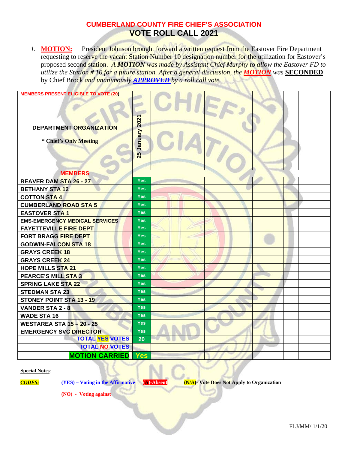*1.* **MOTION:** President Johnson brought forward a written request from the Eastover Fire Department requesting to reserve the vacant Station Number 10 designation number for the utilization for Eastover's proposed second station. *A MOTION was made by Assistant Chief Murphy to allow the Eastover FD to utilize the Station # 10 for a future station. After a general discussion, the MOTION was* **SECONDED** by Chief Brock *and unanimously APPROVED by a roll call vote.* 

| <b>MEMBERS PRESENT ELIGIBLE TO VOTE (20)</b>      |                        |  |  |  |  |  |  |
|---------------------------------------------------|------------------------|--|--|--|--|--|--|
|                                                   |                        |  |  |  |  |  |  |
| DEPARTMENT ORGANIZATION<br>* Chief's Only Meeting | 2021<br>Vienuary<br>25 |  |  |  |  |  |  |
| <b>MEMBERS</b>                                    |                        |  |  |  |  |  |  |
| <b>BEAVER DAM STA 26 - 27</b>                     | <b>Yes</b>             |  |  |  |  |  |  |
| <b>BETHANY STA 12</b>                             | <b>Yes</b>             |  |  |  |  |  |  |
| <b>COTTON STA 4</b>                               | <b>Yes</b>             |  |  |  |  |  |  |
| <b>CUMBERLAND ROAD STA 5</b>                      | <b>Yes</b>             |  |  |  |  |  |  |
| <b>EASTOVER STA1</b>                              | <b>Yes</b>             |  |  |  |  |  |  |
| <b>EMS-EMERGENCY MEDICAL SERVICES</b>             | <b>Yes</b>             |  |  |  |  |  |  |
| <b>FAYETTEVILLE FIRE DEPT</b>                     | <b>Yes</b>             |  |  |  |  |  |  |
| <b>FORT BRAGG FIRE DEPT</b>                       | <b>Yes</b>             |  |  |  |  |  |  |
| <b>GODWIN-FALCON STA 18</b>                       | <b>Yes</b>             |  |  |  |  |  |  |
| <b>GRAYS CREEK 18</b>                             | <b>Yes</b>             |  |  |  |  |  |  |
| <b>GRAYS CREEK 24</b>                             | <b>Yes</b>             |  |  |  |  |  |  |
| <b>HOPE MILLS STA 21</b>                          | <b>Yes</b>             |  |  |  |  |  |  |
| <b>PEARCE'S MILL STA 3</b>                        | <b>Yes</b>             |  |  |  |  |  |  |
| <b>SPRING LAKE STA 22</b>                         | <b>Yes</b>             |  |  |  |  |  |  |
| <b>STEDMAN STA 23</b>                             | <b>Yes</b>             |  |  |  |  |  |  |
| <b>STONEY POINT STA 13 - 19</b>                   | <b>Yes</b>             |  |  |  |  |  |  |
| <b>VANDER STA 2 - 8</b>                           | <b>Yes</b>             |  |  |  |  |  |  |
| <b>WADE STA 16</b>                                | <b>Yes</b>             |  |  |  |  |  |  |
| <b>WESTAREA STA 15-20-25</b>                      | <b>Yes</b>             |  |  |  |  |  |  |
| <b>EMERGENCY SVC DIRECTOR</b>                     | <b>Yes</b>             |  |  |  |  |  |  |
| <b>TOTAL YES VOTES</b>                            | 20                     |  |  |  |  |  |  |
| <b>TOTAL NO VOTES</b>                             |                        |  |  |  |  |  |  |
| <b>MOTION CARRIED</b>                             | Yes                    |  |  |  |  |  |  |

**Special Notes**:

*CODES:* **(YES) – Voting in the Affirmative (A)-Absent (N/A)- Vote Does Not Apply to Organization**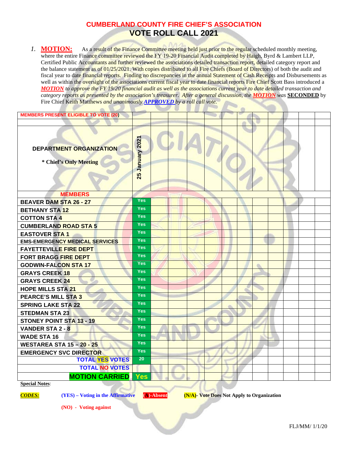1. **MOTION:** As a result of the Finance Committee meeting held just prior to the regular scheduled monthly meeting, where the entire Finance committee reviewed the FY 19-20 Financial Audit completed by Haigh, Byrd & Lambert LLP, Certified Public Accountants and further reviewed the associations detailed transaction report, detailed category report and the balance statement as of 01/25/2021. With copies distributed to all Fire Chiefs (Board of Directors) of both the audit and fiscal year to date financial reports. Finding no discrepancies in the annual Statement of Cash Receipts and Disbursements as well as within the oversight of the associations current fiscal year to date financial reports Fire Chief Scott Bass introduced a *MOTION to approve the FY 19/20 financial audit as well as the associations current year to date detailed transaction and category reports as presented by the association's treasurer. After a general discussion, the MOTION was* **SECONDED** by Fire Chief Keith Matthews *and unanimously APPROVED by a roll call vote.* 

| <b>MEMBERS PRESENT ELIGIBLE TO VOTE (20)</b>      |                 |  |  |  |  |  |  |
|---------------------------------------------------|-----------------|--|--|--|--|--|--|
|                                                   |                 |  |  |  |  |  |  |
| DEPARTMENT ORGANIZATION<br>* Chief's Only Meeting | 25 January 2021 |  |  |  |  |  |  |
| <b>MEMBERS</b>                                    |                 |  |  |  |  |  |  |
| <b>BEAVER DAM STA 26 - 27</b>                     | <b>Yes</b>      |  |  |  |  |  |  |
| <b>BETHANY STA 12</b>                             | <b>Yes</b>      |  |  |  |  |  |  |
| <b>COTTON STA 4</b>                               | <b>Yes</b>      |  |  |  |  |  |  |
| <b>CUMBERLAND ROAD STA 5</b>                      | <b>Yes</b>      |  |  |  |  |  |  |
| <b>EASTOVER STA 1</b>                             | <b>Yes</b>      |  |  |  |  |  |  |
| <b>EMS-EMERGENCY MEDICAL SERVICES</b>             | <b>Yes</b>      |  |  |  |  |  |  |
| <b>FAYETTEVILLE FIRE DEPT</b>                     | <b>Yes</b>      |  |  |  |  |  |  |
| <b>FORT BRAGG FIRE DEPT</b>                       | <b>Yes</b>      |  |  |  |  |  |  |
| <b>GODWIN-FALCON STA 17</b>                       | <b>Yes</b>      |  |  |  |  |  |  |
| <b>GRAYS CREEK 18</b>                             | <b>Yes</b>      |  |  |  |  |  |  |
| <b>GRAYS CREEK 24</b>                             | <b>Yes</b>      |  |  |  |  |  |  |
| <b>HOPE MILLS STA 21</b>                          | <b>Yes</b>      |  |  |  |  |  |  |
| <b>PEARCE'S MILL STA 3</b>                        | <b>Yes</b>      |  |  |  |  |  |  |
| <b>SPRING LAKE STA 22</b>                         | <b>Yes</b>      |  |  |  |  |  |  |
| <b>STEDMAN STA 23</b>                             | <b>Yes</b>      |  |  |  |  |  |  |
| <b>STONEY POINT STA 13 - 19</b>                   | <b>Yes</b>      |  |  |  |  |  |  |
| <b>VANDER STA 2 - 8</b>                           | <b>Yes</b>      |  |  |  |  |  |  |
| <b>WADE STA 16</b>                                | <b>Yes</b>      |  |  |  |  |  |  |
| <b>WESTAREA STA 15 - 20 - 25</b>                  | <b>Yes</b>      |  |  |  |  |  |  |
| <b>EMERGENCY SVC DIRECTOR</b>                     | <b>Yes</b>      |  |  |  |  |  |  |
| <b>TOTAL YES VOTES</b>                            | 20              |  |  |  |  |  |  |
| <b>TOTAL NO VOTES</b>                             |                 |  |  |  |  |  |  |
| <b>MOTION CARRIED</b>                             | Yes             |  |  |  |  |  |  |
| <b>Special Notes:</b>                             |                 |  |  |  |  |  |  |

*CODES:* **(YES) – Voting in the Affirmative (A)-Absent (N/A)- Vote Does Not Apply to Organization**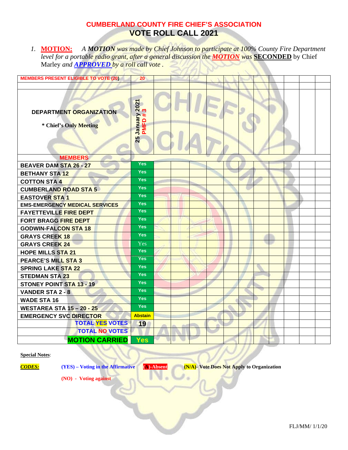*1.* **MOTION:** *A MOTION was made by Chief Johnson to participate at 100% County Fire Department level for a portable radio grant, after a general discussion the MOTION was* **SECONDED** by Chief Marley *and APPROVED by a roll call vote .* 

| <b>MEMBERS PRESENT ELIGIBLE TO VOTE (20)</b>             | 20                                   |  |  |  |  |  |  |
|----------------------------------------------------------|--------------------------------------|--|--|--|--|--|--|
|                                                          |                                      |  |  |  |  |  |  |
| <b>DEPARTMENT ORGANIZATION</b><br>* Chief's Only Meeting | 2021<br>က<br>January<br>PMFD#:<br>25 |  |  |  |  |  |  |
| <b>MEMBERS</b>                                           |                                      |  |  |  |  |  |  |
| <b>BEAVER DAM STA 26 - 27</b>                            | <b>Yes</b>                           |  |  |  |  |  |  |
| <b>BETHANY STA 12</b>                                    | <b>Yes</b>                           |  |  |  |  |  |  |
| <b>COTTON STA 4</b>                                      | <b>Yes</b>                           |  |  |  |  |  |  |
| <b>CUMBERLAND ROAD STA 5</b>                             | <b>Yes</b>                           |  |  |  |  |  |  |
| <b>EASTOVER STA 1</b>                                    | <b>Yes</b>                           |  |  |  |  |  |  |
| <b>EMS-EMERGENCY MEDICAL SERVICES</b>                    | <b>Yes</b>                           |  |  |  |  |  |  |
| <b>FAYETTEVILLE FIRE DEPT</b>                            | <b>Yes</b>                           |  |  |  |  |  |  |
| <b>FORT BRAGG FIRE DEPT</b>                              | <b>Yes</b>                           |  |  |  |  |  |  |
| <b>GODWIN-FALCON STA 18</b>                              | <b>Yes</b>                           |  |  |  |  |  |  |
| <b>GRAYS CREEK 18</b>                                    | Yes                                  |  |  |  |  |  |  |
| <b>GRAYS CREEK 24</b>                                    | Yes                                  |  |  |  |  |  |  |
| <b>HOPE MILLS STA 21</b>                                 | <b>Yes</b>                           |  |  |  |  |  |  |
| <b>PEARCE'S MILL STA 3</b>                               | <b>Yes</b>                           |  |  |  |  |  |  |
| <b>SPRING LAKE STA 22</b>                                | <b>Yes</b>                           |  |  |  |  |  |  |
| <b>STEDMAN STA 23</b>                                    | Yes                                  |  |  |  |  |  |  |
| <b>STONEY POINT STA 13 - 19</b>                          | <b>Yes</b>                           |  |  |  |  |  |  |
| <b>VANDER STA 2 - 8</b>                                  | <b>Yes</b>                           |  |  |  |  |  |  |
| <b>WADE STA 16</b>                                       | <b>Yes</b>                           |  |  |  |  |  |  |
| <b>WESTAREA STA 15-20-25</b>                             | <b>Yes</b>                           |  |  |  |  |  |  |
| <b>EMERGENCY SVC DIRECTOR</b>                            | <b>Abstain</b>                       |  |  |  |  |  |  |
| <b>TOTAL YES VOTES</b>                                   | 19                                   |  |  |  |  |  |  |
| <b>TOTAL NO VOTES</b>                                    |                                      |  |  |  |  |  |  |
| <b>MOTION CARRIED</b>                                    | <b>Yes</b>                           |  |  |  |  |  |  |

#### **Special Notes**:

*CODES:* **(YES) – Voting in the Affirmative (A)-Absent (N/A)- Vote Does Not Apply to Organization**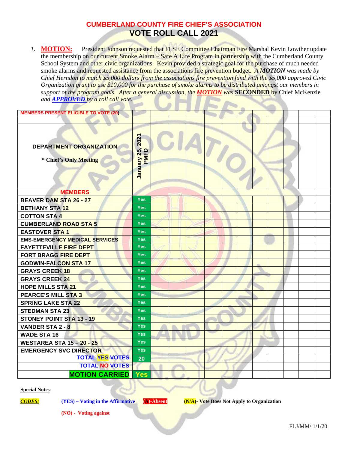1. **MOTION:** President Johnson requested that FLSE Committee Chairman Fire Marshal Kevin Lowther update the membership on our current Smoke Alarm – Safe A Life Program in partnership with the Cumberland County School System and other civic organizations. Kevin provided a strategic goal for the purchase of much needed smoke alarms and requested assistance from the associations fire prevention budget. *A MOTION was made by Chief Herndon to match \$5,000 dollars from the associations fire prevention fund with the \$5,000 approved Civic Organization grant to use \$10,000 for the purchase of smoke alarms to be distributed amongst our members in support of the program goals. After a general discussion, the MOTION was* **SECONDED** by Chief McKenzie *and APPROVED by a roll call vote.* 

| <b>MEMBERS PRESENT ELIGIBLE TO VOTE (20)</b>             |                     |  |  |  |  |  |  |
|----------------------------------------------------------|---------------------|--|--|--|--|--|--|
|                                                          |                     |  |  |  |  |  |  |
| <b>DEPARTMENT ORGANIZATION</b><br>* Chief's Only Meeting | 2021<br>January 25, |  |  |  |  |  |  |
| <b>MEMBERS</b>                                           |                     |  |  |  |  |  |  |
| <b>BEAVER DAM STA 26 - 27</b>                            | <b>Yes</b>          |  |  |  |  |  |  |
| <b>BETHANY STA 12</b>                                    | <b>Yes</b>          |  |  |  |  |  |  |
| <b>COTTON STA 4</b>                                      | <b>Yes</b>          |  |  |  |  |  |  |
| <b>CUMBERLAND ROAD STA 5</b>                             | <b>Yes</b>          |  |  |  |  |  |  |
| <b>EASTOVER STA1</b>                                     | <b>Yes</b>          |  |  |  |  |  |  |
| <b>EMS-EMERGENCY MEDICAL SERVICES</b>                    | <b>Yes</b>          |  |  |  |  |  |  |
| <b>FAYETTEVILLE FIRE DEPT</b>                            | <b>Yes</b>          |  |  |  |  |  |  |
| <b>FORT BRAGG FIRE DEPT</b>                              | <b>Yes</b>          |  |  |  |  |  |  |
| <b>GODWIN-FALCON STA 17</b>                              | <b>Yes</b>          |  |  |  |  |  |  |
| <b>GRAYS CREEK 18</b>                                    | <b>Yes</b>          |  |  |  |  |  |  |
| <b>GRAYS CREEK 24</b>                                    | <b>Yes</b>          |  |  |  |  |  |  |
| <b>HOPE MILLS STA 21</b>                                 | <b>Yes</b>          |  |  |  |  |  |  |
| PEARCE'S MILL STA 3                                      | <b>Yes</b>          |  |  |  |  |  |  |
| <b>SPRING LAKE STA 22</b>                                | <b>Yes</b>          |  |  |  |  |  |  |
| <b>STEDMAN STA 23</b>                                    | <b>Yes</b>          |  |  |  |  |  |  |
| <b>STONEY POINT STA 13 - 19</b>                          | <b>Yes</b>          |  |  |  |  |  |  |
| <b>VANDER STA 2 - 8</b>                                  | <b>Yes</b>          |  |  |  |  |  |  |
| <b>WADE STA 16</b>                                       | <b>Yes</b>          |  |  |  |  |  |  |
| <b>WESTAREA STA 15 - 20 - 25</b>                         | <b>Yes</b>          |  |  |  |  |  |  |
| <b>EMERGENCY SVC DIRECTOR</b><br><b>TOTAL YES VOTES</b>  | <b>Yes</b>          |  |  |  |  |  |  |
| <b>TOTAL NO VOTES</b>                                    | 20                  |  |  |  |  |  |  |
|                                                          |                     |  |  |  |  |  |  |
| <b>MOTION CARRIED</b>                                    | Yes                 |  |  |  |  |  |  |

#### **Special Notes**:

*CODES:* **(YES) – Voting in the Affirmative (A)-Absent (N/A)- Vote Does Not Apply to Organization**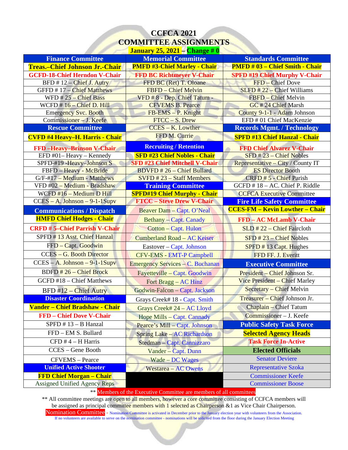# **CCFCA 2021 COMMITTEE ASSIGNMENTS January 25, 2021 – Change # 0**

| <b>Finance Committee</b>               | <u>January 20, 2021 — Спандс II V</u><br><b>Memorial Committee</b> | <b>Standards Committee</b>             |
|----------------------------------------|--------------------------------------------------------------------|----------------------------------------|
| <b>Treas.-Chief Johnson Jr.-Chair</b>  | <b>PMFD #3-Chief Marley - Chair</b>                                | <b>PMFD # 03 - Chief Smith - Chair</b> |
| <b>GCFD-18-Chief Herndon V-Chair</b>   | <b>FFD BC Richtmeyer V-Chair</b>                                   | <b>SPFD #19 Chief Murphy V-Chair</b>   |
| BFD #12 - Chief J. Autry               | FFD BC (Ret) T. Oloane                                             | FFD - Chief Dove                       |
| GFFD #17 - Chief Matthews              | FBFD - Chief Melvin                                                | $SLFD$ # 22 – Chief Williams           |
| WFD $#25 - Chief Bass$                 | VFD # 8 - Dep. Chief Tatum -                                       | FBFD - Chief Melvin                    |
| WCFD #16 - Chief D. Hill               | <b>CFVEMS B. Pearce</b>                                            | GC #24 Chief Marsh                     |
| <b>Emergency Svc. Booth</b>            | FB-EMS - P. Knight                                                 | County 9-1-1 - Adam Johnson            |
| Commissioner - J. Keefe                | FTCC - S. Drew                                                     | EFD # 01 Chief MacKenzie               |
| <b>Rescue Committee</b>                | <b>CCES - K. Lowther</b>                                           | <b>Records Mgmt. / Technology</b>      |
| <b>CVFD #4 Heavy-H. Harris - Chair</b> | FFD M. Currie                                                      | <b>SPFD #13 Chief Hanzal - Chair</b>   |
| <b>FFD</b> -Heavy-Brinson V-Chair      | <b>Recruiting / Retention</b>                                      | <b>FFD Chief Alvarez V-Chair</b>       |
| EFD #01-Heavy - Kennedy                | <b>SFD #23 Chief Nobles - Chair</b>                                | $SFD$ # 23 – Chief Nobles              |
| SPFD-#19 - Heavy-Johnson S             | <b>SFD #23 Chief Mitchell V-Chair</b>                              | Representative - City / County IT      |
| FBFD - Heavy - McBride                 | <b>BDVFD #26 - Chief Bullard</b>                                   | <b>ES Director Booth</b>               |
| G/F-#17 - Medium - Matthews            | $SVFD$ # 23 – Staff Members                                        | CRFD #5 - Chief Parish                 |
| VFD #02 - Medium - Bradshaw            | <b>Training Committee</b>                                          | GCFD #18 - AC. Chief P. Riddle         |
| WCFD #16 - Medium D Hill               | <b>SPFD#19 Chief Murphy - Chair</b>                                | <b>CCFCA Executive Committee</b>       |
| $CCES - A. Johnson - 9-1-1Supy$        | <b>FTCC - Steve Drew V-Chair</b>                                   | <b>Fire Life Safety Committee</b>      |
| <b>Communications / Dispatch</b>       | Beaver Dam - Capt. O'Neal                                          | <b>CCES-FM - Kevin Lowther - Chair</b> |
| <b>HMFD Chief Hodges - Chair</b>       | <b>Bethany</b> – Capt. Canady                                      | <b>FFD</b> – AC McLamb V-Chair         |
| <b>CRFD #5-Chief Parrish V-Chair</b>   | <b>Cotton - Capt. Hulon</b>                                        | $SLD$ #22 – Chief Faircloth            |
| SPFD #13 Asst. Chief Hanzal            | <b>Cumberland Road - AC Keiser</b>                                 | $SFD$ # 23 – Chief Nobles              |
| FFD - Capt. Goodwin                    | Eastover – Capt. Johnson                                           | SPPD # 13 Capt. Hughes                 |
| <b>CCES - G. Booth Director</b>        | <b>CFV-EMS - EMT-P Campbell</b>                                    | FFD FF. J. Everitt                     |
| $CCES - A. Johnson - 9-1-1Supy$        | Emergency Services - C. Buchanan                                   | <b>Executive Committee</b>             |
| BDFD #26 - Chief Brock                 | Fayetteville – Capt. Goodwin                                       | President - Chief Johnson Sr.          |
| GCFD #18 - Chief Matthews              | Fort $Bragg - AC Hinz$                                             | Vice President - Chief Marley          |
| $BFD #12 - Chief$ Autry                | Godwin-Falcon - Capt. Jackson                                      | Secretary - Chief Melvin               |
| <b>Disaster Coordination</b>           | Grays Creek# 18 - Capt. Smith                                      | Treasurer - Chief Johnson Jr.          |
| Vander - Chief Bradshaw - Chair        | Grays Creek# 24 - AC Lloyd                                         | <b>Chaplain - Chief Tatum</b>          |
| <b>FFD</b> – Chief Dove V-Chair        | Hope Mills - Capt. Cannady                                         | Commissioner - J. Keefe                |
| SPFD $# 13 - B$ Hanzal                 | Pearce's Mill - Capt. Johnson                                      | <b>Public Safety Task Force</b>        |
| FFD - EM S. Bullard                    | <b>Spring Lake – AC Richardson</b>                                 | <b>Selected Agency Heads</b>           |
| $CFD # 4 - H Harris$                   | Stedman – Capt. Cannizzaro                                         | <b>Task Force In-Active</b>            |
| CCES - Gene Booth                      | Vander - Capt. Dunn                                                | <b>Elected Officials</b>               |
| <b>CFVEMS</b> – Pearce                 | Wade – DC Wages                                                    | <b>Senator Deviere</b>                 |
| <b>Unified Active Shooter</b>          | <b>Westarea – AC Owens</b>                                         | <b>Representative Szoka</b>            |
| <b>FFD Chief Morgan - Chair</b>        |                                                                    | <b>Commissioner Keefe</b>              |
| Assigned Unified Agency Reps           |                                                                    | <b>Commissioner Boose</b>              |

\*\* Members of the Executive Committee are members of all committees

\*\* All committee meetings are open to all members, however a core committee consisting of CCFCA members will be assigned as principal committee members with 1 selected as Chairperson &1 as Vice Chair Chairperson.

Nomination Committee - Nomination Committee is activated in December prior to the January election year with volunteers from the Association. If no volunteers are available to serve on the nomination committee - nominations will be solicited from the floor during the January Election Meeting